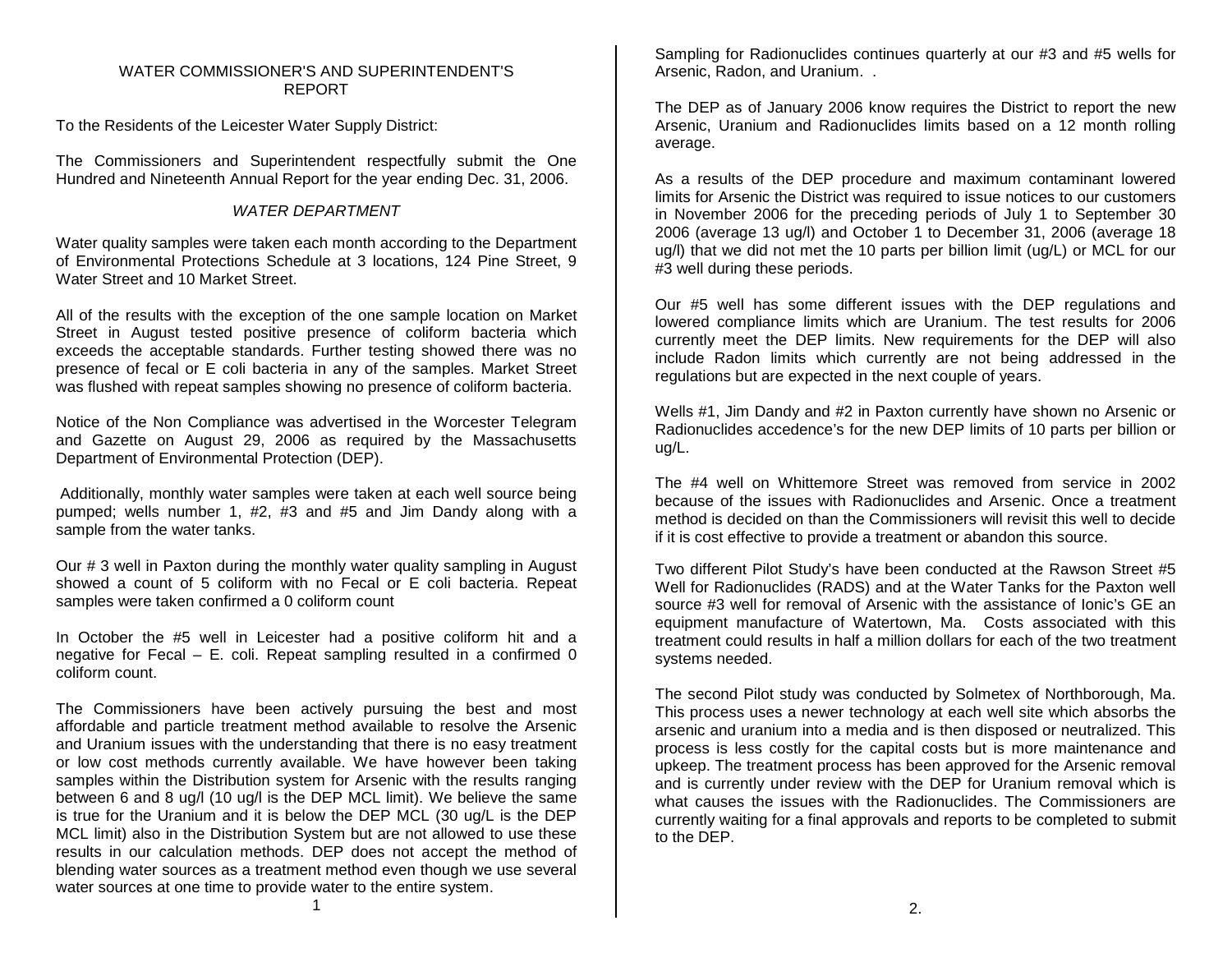# WATER COMMISSIONER'S AND SUPERINTENDENT'S REPORT

To the Residents of the Leicester Water Supply District:

The Commissioners and Superintendent respectfully submit the One Hundred and Nineteenth Annual Report for the year ending Dec. 31, 2006.

# *WATER DEPARTMENT*

Water quality samples were taken each month according to the Department of Environmental Protections Schedule at 3 locations, 124 Pine Street, 9 Water Street and 10 Market Street.

All of the results with the exception of the one sample location on Market Street in August tested positive presence of coliform bacteria which exceeds the acceptable standards. Further testing showed there was no presence of fecal or E coli bacteria in any of the samples. Market Street was flushed with repeat samples showing no presence of coliform bacteria.

Notice of the Non Compliance was advertised in the Worcester Telegram and Gazette on August 29, 2006 as required by the Massachusetts Department of Environmental Protection (DEP).

Additionally, monthly water samples were taken at each well source being pumped; wells number 1, #2, #3 and #5 and Jim Dandy along with a sample from the water tanks.

Our # 3 well in Paxton during the monthly water quality sampling in August showed a count of 5 coliform with no Fecal or E coli bacteria. Repeat samples were taken confirmed a 0 coliform count

In October the #5 well in Leicester had a positive coliform hit and a negative for Fecal – E. coli. Repeat sampling resulted in a confirmed 0 coliform count.

The Commissioners have been actively pursuing the best and most affordable and particle treatment method available to resolve the Arsenic and Uranium issues with the understanding that there is no easy treatment or low cost methods currently available. We have however been taking samples within the Distribution system for Arsenic with the results ranging between 6 and 8 ug/l (10 ug/l is the DEP MCL limit). We believe the same is true for the Uranium and it is below the DEP MCL (30 ug/L is the DEP MCL limit) also in the Distribution System but are not allowed to use these results in our calculation methods. DEP does not accept the method of blending water sources as a treatment method even though we use several water sources at one time to provide water to the entire system.

Sampling for Radionuclides continues quarterly at our #3 and #5 wells for Arsenic, Radon, and Uranium. .

The DEP as of January 2006 know requires the District to report the new Arsenic, Uranium and Radionuclides limits based on a 12 month rolling average.

As a results of the DEP procedure and maximum contaminant lowered limits for Arsenic the District was required to issue notices to our customers in November 2006 for the preceding periods of July 1 to September 30 2006 (average 13 ug/l) and October 1 to December 31, 2006 (average 18 ug/l) that we did not met the 10 parts per billion limit (ug/L) or MCL for our #3 well during these periods.

Our #5 well has some different issues with the DEP regulations and lowered compliance limits which are Uranium. The test results for 2006 currently meet the DEP limits. New requirements for the DEP will also include Radon limits which currently are not being addressed in the regulations but are expected in the next couple of years.

Wells #1, Jim Dandy and #2 in Paxton currently have shown no Arsenic or Radionuclides accedence's for the new DEP limits of 10 parts per billion or ug/L.

The #4 well on Whittemore Street was removed from service in 2002 because of the issues with Radionuclides and Arsenic. Once a treatment method is decided on than the Commissioners will revisit this well to decide if it is cost effective to provide a treatment or abandon this source.

Two different Pilot Study's have been conducted at the Rawson Street #5 Well for Radionuclides (RADS) and at the Water Tanks for the Paxton well source #3 well for removal of Arsenic with the assistance of Ionic's GE an equipment manufacture of Watertown, Ma. Costs associated with this treatment could results in half a million dollars for each of the two treatment systems needed.

The second Pilot study was conducted by Solmetex of Northborough, Ma. This process uses a newer technology at each well site which absorbs the arsenic and uranium into a media and is then disposed or neutralized. This process is less costly for the capital costs but is more maintenance and upkeep. The treatment process has been approved for the Arsenic removal and is currently under review with the DEP for Uranium removal which is what causes the issues with the Radionuclides. The Commissioners are currently waiting for a final approvals and reports to be completed to submit to the DEP.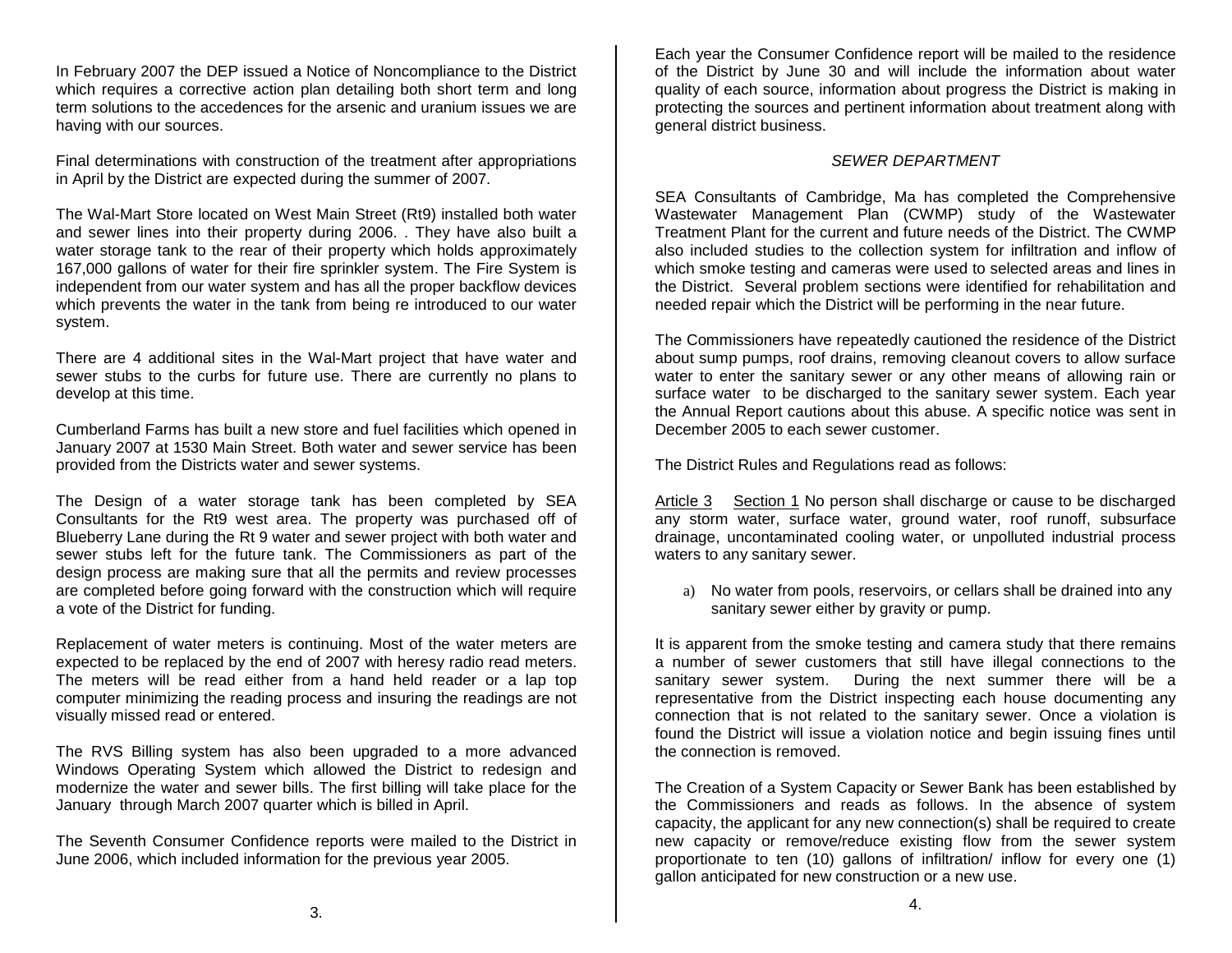In February 2007 the DEP issued a Notice of Noncompliance to the District which requires a corrective action plan detailing both short term and long term solutions to the accedences for the arsenic and uranium issues we are having with our sources.

Final determinations with construction of the treatment after appropriations in April by the District are expected during the summer of 2007.

The Wal-Mart Store located on West Main Street (Rt9) installed both water and sewer lines into their property during 2006. . They have also built a water storage tank to the rear of their property which holds approximately 167,000 gallons of water for their fire sprinkler system. The Fire System is independent from our water system and has all the proper backflow devices which prevents the water in the tank from being re introduced to our water system.

There are 4 additional sites in the Wal-Mart project that have water and sewer stubs to the curbs for future use. There are currently no plans to develop at this time.

Cumberland Farms has built a new store and fuel facilities which opened in January 2007 at 1530 Main Street. Both water and sewer service has been provided from the Districts water and sewer systems.

The Design of a water storage tank has been completed by SEA Consultants for the Rt9 west area. The property was purchased off of Blueberry Lane during the Rt 9 water and sewer project with both water and sewer stubs left for the future tank. The Commissioners as part of the design process are making sure that all the permits and review processes are completed before going forward with the construction which will require a vote of the District for funding.

Replacement of water meters is continuing. Most of the water meters are expected to be replaced by the end of 2007 with heresy radio read meters. The meters will be read either from a hand held reader or a lap top computer minimizing the reading process and insuring the readings are not visually missed read or entered.

The RVS Billing system has also been upgraded to a more advanced Windows Operating System which allowed the District to redesign and modernize the water and sewer bills. The first billing will take place for the January through March 2007 quarter which is billed in April.

The Seventh Consumer Confidence reports were mailed to the District in June 2006, which included information for the previous year 2005.

Each year the Consumer Confidence report will be mailed to the residence of the District by June 30 and will include the information about water quality of each source, information about progress the District is making in protecting the sources and pertinent information about treatment along with general district business.

# *SEWER DEPARTMENT*

SEA Consultants of Cambridge, Ma has completed the Comprehensive Wastewater Management Plan (CWMP) study of the Wastewater Treatment Plant for the current and future needs of the District. The CWMP also included studies to the collection system for infiltration and inflow of which smoke testing and cameras were used to selected areas and lines in the District. Several problem sections were identified for rehabilitation and needed repair which the District will be performing in the near future.

The Commissioners have repeatedly cautioned the residence of the District about sump pumps, roof drains, removing cleanout covers to allow surface water to enter the sanitary sewer or any other means of allowing rain or surface water to be discharged to the sanitary sewer system. Each year the Annual Report cautions about this abuse. A specific notice was sent in December 2005 to each sewer customer.

The District Rules and Regulations read as follows:

Article 3 Section 1 No person shall discharge or cause to be discharged any storm water, surface water, ground water, roof runoff, subsurface drainage, uncontaminated cooling water, or unpolluted industrial process waters to any sanitary sewer.

a) No water from pools, reservoirs, or cellars shall be drained into any sanitary sewer either by gravity or pump.

It is apparent from the smoke testing and camera study that there remains a number of sewer customers that still have illegal connections to the sanitary sewer system. During the next summer there will be a representative from the District inspecting each house documenting any connection that is not related to the sanitary sewer. Once a violation is found the District will issue a violation notice and begin issuing fines until the connection is removed.

The Creation of a System Capacity or Sewer Bank has been established by the Commissioners and reads as follows. In the absence of system capacity, the applicant for any new connection(s) shall be required to create new capacity or remove/reduce existing flow from the sewer system proportionate to ten (10) gallons of infiltration/ inflow for every one (1) gallon anticipated for new construction or a new use.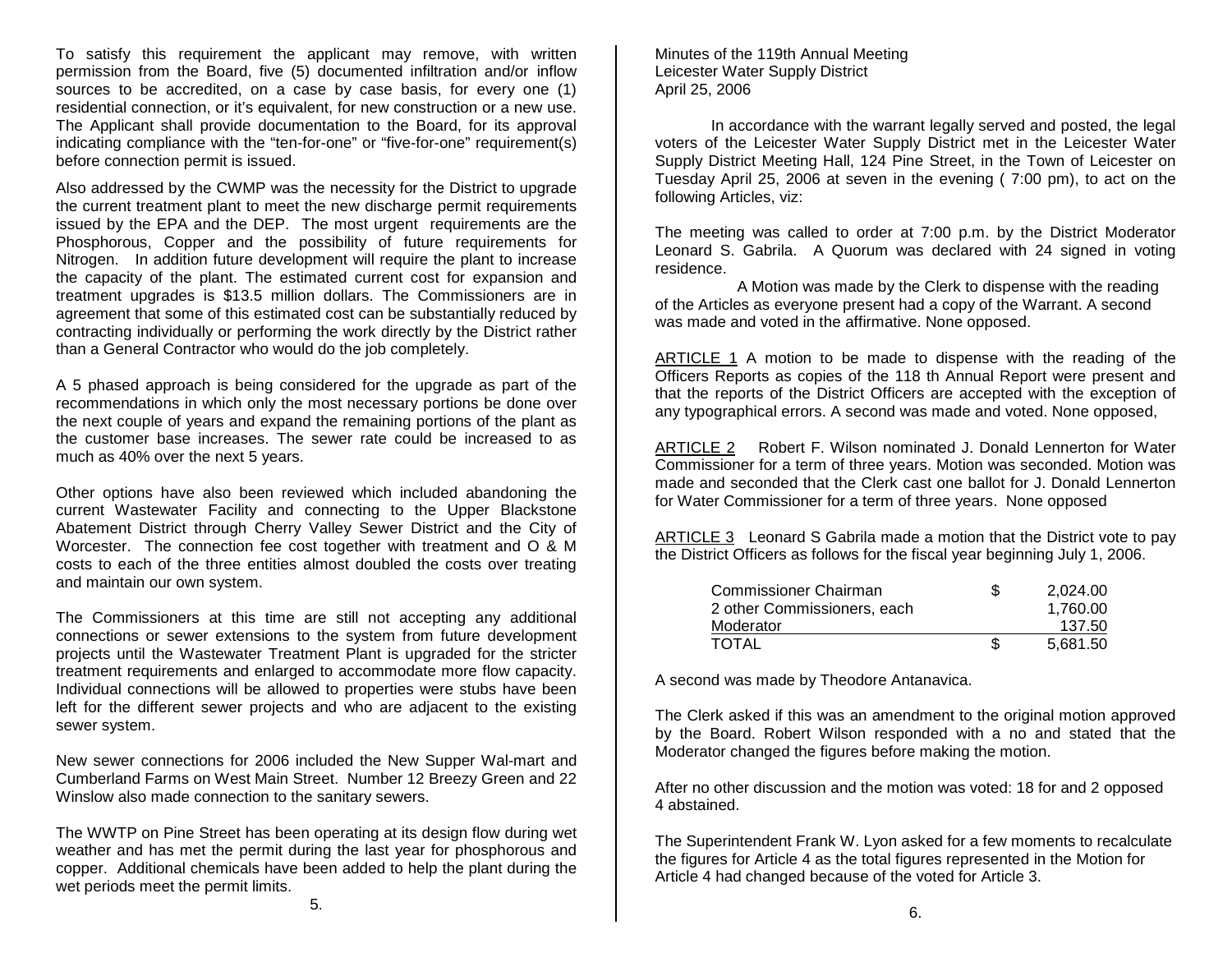To satisfy this requirement the applicant may remove, with written permission from the Board, five (5) documented infiltration and/or inflow sources to be accredited, on a case by case basis, for every one (1) residential connection, or it's equivalent, for new construction or a new use. The Applicant shall provide documentation to the Board, for its approval indicating compliance with the "ten-for-one" or "five-for-one" requirement(s) before connection permit is issued.

Also addressed by the CWMP was the necessity for the District to upgrade the current treatment plant to meet the new discharge permit requirements issued by the EPA and the DEP. The most urgent requirements are the Phosphorous, Copper and the possibility of future requirements for Nitrogen. In addition future development will require the plant to increase the capacity of the plant. The estimated current cost for expansion and treatment upgrades is \$13.5 million dollars. The Commissioners are in agreement that some of this estimated cost can be substantially reduced by contracting individually or performing the work directly by the District rather than a General Contractor who would do the job completely.

A 5 phased approach is being considered for the upgrade as part of the recommendations in which only the most necessary portions be done over the next couple of years and expand the remaining portions of the plant as the customer base increases. The sewer rate could be increased to as much as 40% over the next 5 years.

Other options have also been reviewed which included abandoning the current Wastewater Facility and connecting to the Upper Blackstone Abatement District through Cherry Valley Sewer District and the City of Worcester. The connection fee cost together with treatment and O & M costs to each of the three entities almost doubled the costs over treating and maintain our own system.

The Commissioners at this time are still not accepting any additional connections or sewer extensions to the system from future development projects until the Wastewater Treatment Plant is upgraded for the stricter treatment requirements and enlarged to accommodate more flow capacity. Individual connections will be allowed to properties were stubs have been left for the different sewer projects and who are adjacent to the existing sewer system.

New sewer connections for 2006 included the New Supper Wal-mart and Cumberland Farms on West Main Street. Number 12 Breezy Green and 22 Winslow also made connection to the sanitary sewers.

The WWTP on Pine Street has been operating at its design flow during wet weather and has met the permit during the last year for phosphorous and copper. Additional chemicals have been added to help the plant during the wet periods meet the permit limits.

Minutes of the 119th Annual Meeting Leicester Water Supply District April 25, 2006

In accordance with the warrant legally served and posted, the legal voters of the Leicester Water Supply District met in the Leicester Water Supply District Meeting Hall, 124 Pine Street, in the Town of Leicester on Tuesday April 25, 2006 at seven in the evening ( 7:00 pm), to act on the following Articles, viz:

The meeting was called to order at 7:00 p.m. by the District Moderator Leonard S. Gabrila. A Quorum was declared with 24 signed in voting residence.

A Motion was made by the Clerk to dispense with the reading of the Articles as everyone present had a copy of the Warrant. A second was made and voted in the affirmative. None opposed.

ARTICLE 1 A motion to be made to dispense with the reading of the Officers Reports as copies of the 118 th Annual Report were present and that the reports of the District Officers are accepted with the exception of any typographical errors. A second was made and voted. None opposed,

ARTICLE 2 Robert F. Wilson nominated J. Donald Lennerton for Water Commissioner for a term of three years. Motion was seconded. Motion was made and seconded that the Clerk cast one ballot for J. Donald Lennerton for Water Commissioner for a term of three years. None opposed

ARTICLE 3 Leonard S Gabrila made a motion that the District vote to pay the District Officers as follows for the fiscal year beginning July 1, 2006.

| Commissioner Chairman       | S  | 2.024.00 |
|-----------------------------|----|----------|
| 2 other Commissioners, each |    | 1.760.00 |
| Moderator                   |    | 137.50   |
| TOTAL                       | S. | 5.681.50 |

A second was made by Theodore Antanavica.

The Clerk asked if this was an amendment to the original motion approved by the Board. Robert Wilson responded with a no and stated that the Moderator changed the figures before making the motion.

After no other discussion and the motion was voted: 18 for and 2 opposed 4 abstained.

The Superintendent Frank W. Lyon asked for a few moments to recalculate the figures for Article 4 as the total figures represented in the Motion for Article 4 had changed because of the voted for Article 3.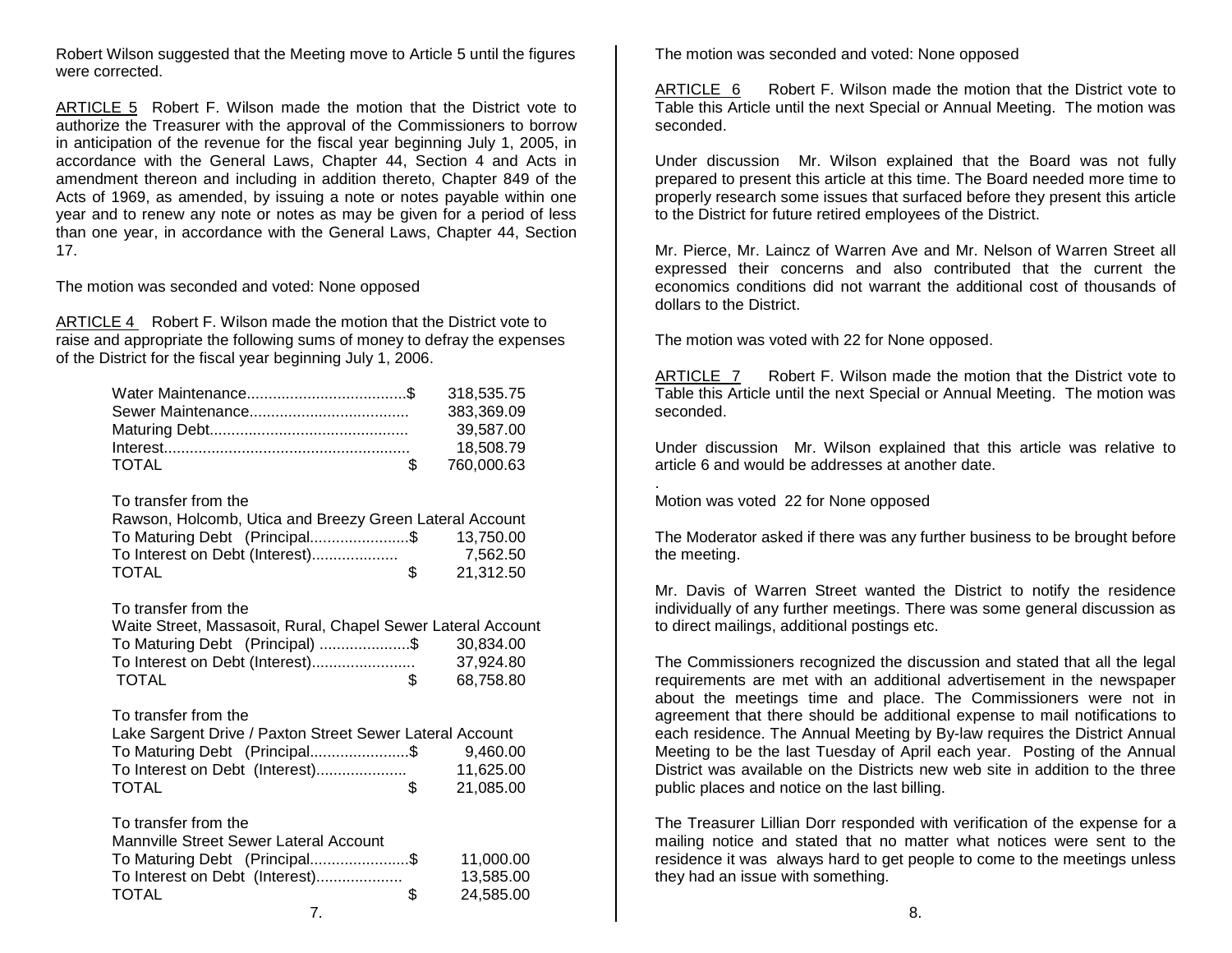Robert Wilson suggested that the Meeting move to Article 5 until the figures were corrected.

ARTICLE 5 Robert F. Wilson made the motion that the District vote to authorize the Treasurer with the approval of the Commissioners to borrow in anticipation of the revenue for the fiscal year beginning July 1, 2005, in accordance with the General Laws, Chapter 44, Section 4 and Acts in amendment thereon and including in addition thereto, Chapter 849 of the Acts of 1969, as amended, by issuing a note or notes payable within one year and to renew any note or notes as may be given for a period of less than one year, in accordance with the General Laws, Chapter 44, Section 17.

The motion was seconded and voted: None opposed

ARTICLE 4 Robert F. Wilson made the motion that the District vote to raise and appropriate the following sums of money to defray the expenses of the District for the fiscal year beginning July 1, 2006.

|              | 383,369.09    |
|--------------|---------------|
|              | 39.587.00     |
|              | 18.508.79     |
| <b>TOTAL</b> | \$ 760,000.63 |

To transfer from the

| Rawson, Holcomb, Utica and Breezy Green Lateral Account |     |           |
|---------------------------------------------------------|-----|-----------|
| To Maturing Debt (Principal\$                           |     | 13.750.00 |
| To Interest on Debt (Interest)                          |     | 7.562.50  |
| <b>TOTAL</b>                                            | \$. | 21.312.50 |

## To transfer from the

| Waite Street, Massasoit, Rural, Chapel Sewer Lateral Account |           |
|--------------------------------------------------------------|-----------|
| To Maturing Debt (Principal) \$                              | 30.834.00 |
|                                                              | 37.924.80 |
| TOTAL                                                        | 68.758.80 |

## To transfer from the

| Lake Sargent Drive / Paxton Street Sewer Lateral Account |           |
|----------------------------------------------------------|-----------|
| To Maturing Debt (Principal\$                            | 9.460.00  |
| To Interest on Debt (Interest)                           | 11.625.00 |
| <b>TOTAL</b>                                             | 21.085.00 |

To transfer from the

| <b>Mannville Street Sewer Lateral Account</b> |           |
|-----------------------------------------------|-----------|
| To Maturing Debt (Principal\$                 | 11.000.00 |
| To Interest on Debt (Interest)                | 13.585.00 |
| <b>TOTAL</b><br>\$.                           | 24.585.00 |
|                                               |           |

The motion was seconded and voted: None opposed

ARTICLE 6 Robert F. Wilson made the motion that the District vote to Table this Article until the next Special or Annual Meeting. The motion was seconded.

Under discussion Mr. Wilson explained that the Board was not fully prepared to present this article at this time. The Board needed more time to properly research some issues that surfaced before they present this article to the District for future retired employees of the District.

Mr. Pierce, Mr. Laincz of Warren Ave and Mr. Nelson of Warren Street all expressed their concerns and also contributed that the current the economics conditions did not warrant the additional cost of thousands of dollars to the District.

The motion was voted with 22 for None opposed.

ARTICLE 7 Robert F. Wilson made the motion that the District vote to Table this Article until the next Special or Annual Meeting. The motion was seconded.

Under discussion Mr. Wilson explained that this article was relative to article 6 and would be addresses at another date.

. Motion was voted 22 for None opposed

The Moderator asked if there was any further business to be brought before the meeting.

Mr. Davis of Warren Street wanted the District to notify the residence individually of any further meetings. There was some general discussion as to direct mailings, additional postings etc.

The Commissioners recognized the discussion and stated that all the legal requirements are met with an additional advertisement in the newspaper about the meetings time and place. The Commissioners were not in agreement that there should be additional expense to mail notifications to each residence. The Annual Meeting by By-law requires the District Annual Meeting to be the last Tuesday of April each year. Posting of the Annual District was available on the Districts new web site in addition to the three public places and notice on the last billing.

The Treasurer Lillian Dorr responded with verification of the expense for a mailing notice and stated that no matter what notices were sent to the residence it was always hard to get people to come to the meetings unless they had an issue with something.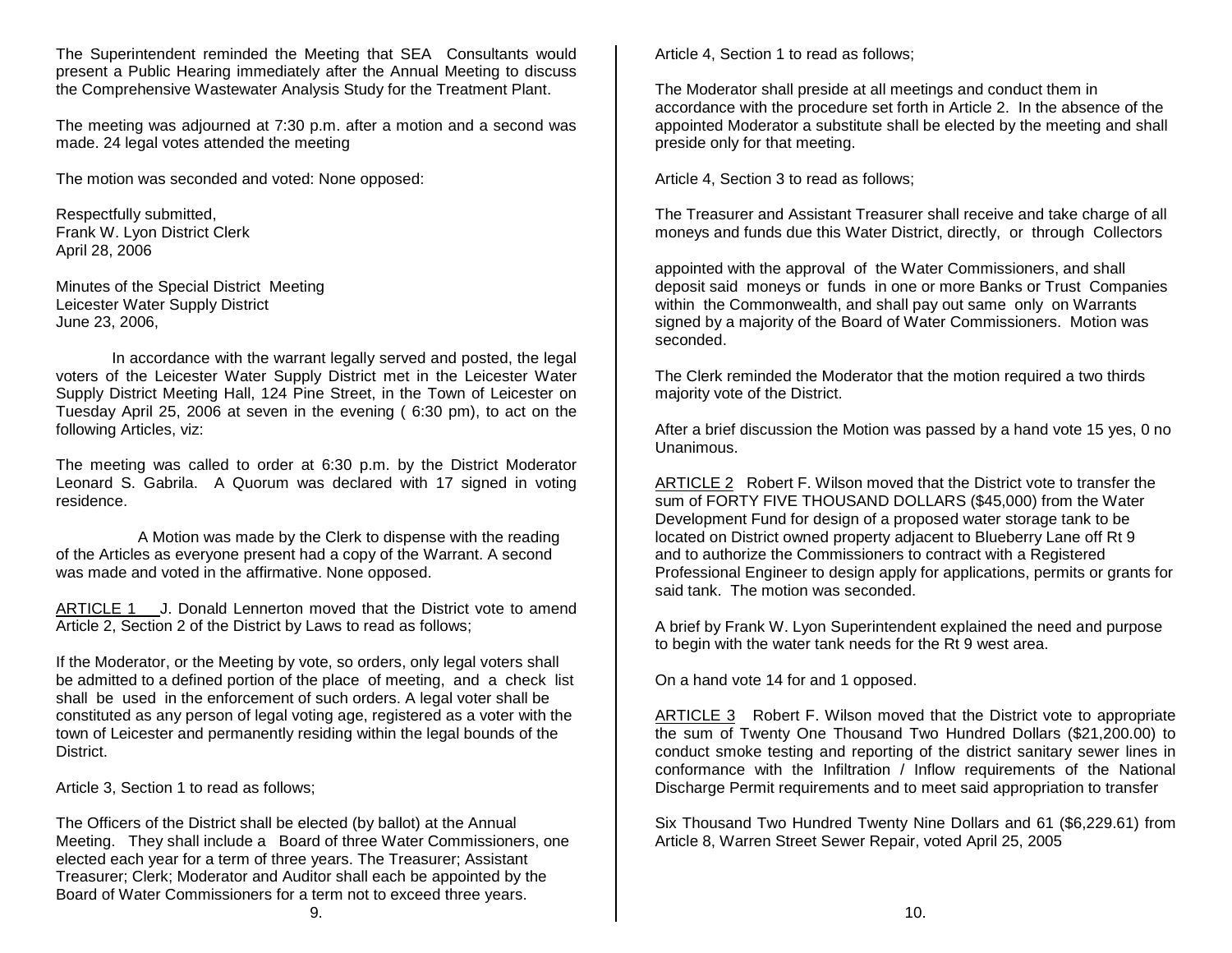The Superintendent reminded the Meeting that SEA Consultants would present a Public Hearing immediately after the Annual Meeting to discuss the Comprehensive Wastewater Analysis Study for the Treatment Plant.

The meeting was adjourned at 7:30 p.m. after a motion and a second was made. 24 legal votes attended the meeting

The motion was seconded and voted: None opposed:

Respectfully submitted, Frank W. Lyon District Clerk April 28, 2006

Minutes of the Special District Meeting Leicester Water Supply District June 23, 2006,

In accordance with the warrant legally served and posted, the legal voters of the Leicester Water Supply District met in the Leicester Water Supply District Meeting Hall, 124 Pine Street, in the Town of Leicester on Tuesday April 25, 2006 at seven in the evening ( 6:30 pm), to act on the following Articles, viz:

The meeting was called to order at 6:30 p.m. by the District Moderator Leonard S. Gabrila. A Quorum was declared with 17 signed in voting residence.

A Motion was made by the Clerk to dispense with the reading of the Articles as everyone present had a copy of the Warrant. A second was made and voted in the affirmative. None opposed.

ARTICLE 1 J. Donald Lennerton moved that the District vote to amend Article 2, Section 2 of the District by Laws to read as follows;

If the Moderator, or the Meeting by vote, so orders, only legal voters shall be admitted to a defined portion of the place of meeting, and a check list shall be used in the enforcement of such orders. A legal voter shall be constituted as any person of legal voting age, registered as a voter with the town of Leicester and permanently residing within the legal bounds of the District.

Article 3, Section 1 to read as follows;

The Officers of the District shall be elected (by ballot) at the Annual Meeting. They shall include a Board of three Water Commissioners, one elected each year for a term of three years. The Treasurer; Assistant Treasurer; Clerk; Moderator and Auditor shall each be appointed by the Board of Water Commissioners for a term not to exceed three years.

Article 4, Section 1 to read as follows;

The Moderator shall preside at all meetings and conduct them in accordance with the procedure set forth in Article 2. In the absence of the appointed Moderator a substitute shall be elected by the meeting and shall preside only for that meeting.

Article 4, Section 3 to read as follows;

The Treasurer and Assistant Treasurer shall receive and take charge of all moneys and funds due this Water District, directly, or through Collectors

appointed with the approval of the Water Commissioners, and shall deposit said moneys or funds in one or more Banks or Trust Companies within the Commonwealth, and shall pay out same only on Warrants signed by a majority of the Board of Water Commissioners. Motion was seconded.

The Clerk reminded the Moderator that the motion required a two thirds majority vote of the District.

After a brief discussion the Motion was passed by a hand vote 15 yes, 0 no Unanimous.

ARTICLE 2 Robert F. Wilson moved that the District vote to transfer the sum of FORTY FIVE THOUSAND DOLLARS (\$45,000) from the Water Development Fund for design of a proposed water storage tank to be located on District owned property adjacent to Blueberry Lane off Rt 9 and to authorize the Commissioners to contract with a Registered Professional Engineer to design apply for applications, permits or grants for said tank. The motion was seconded.

A brief by Frank W. Lyon Superintendent explained the need and purpose to begin with the water tank needs for the Rt 9 west area.

On a hand vote 14 for and 1 opposed.

ARTICLE 3 Robert F. Wilson moved that the District vote to appropriate the sum of Twenty One Thousand Two Hundred Dollars (\$21,200.00) to conduct smoke testing and reporting of the district sanitary sewer lines in conformance with the Infiltration / Inflow requirements of the National Discharge Permit requirements and to meet said appropriation to transfer

Six Thousand Two Hundred Twenty Nine Dollars and 61 (\$6,229.61) from Article 8, Warren Street Sewer Repair, voted April 25, 2005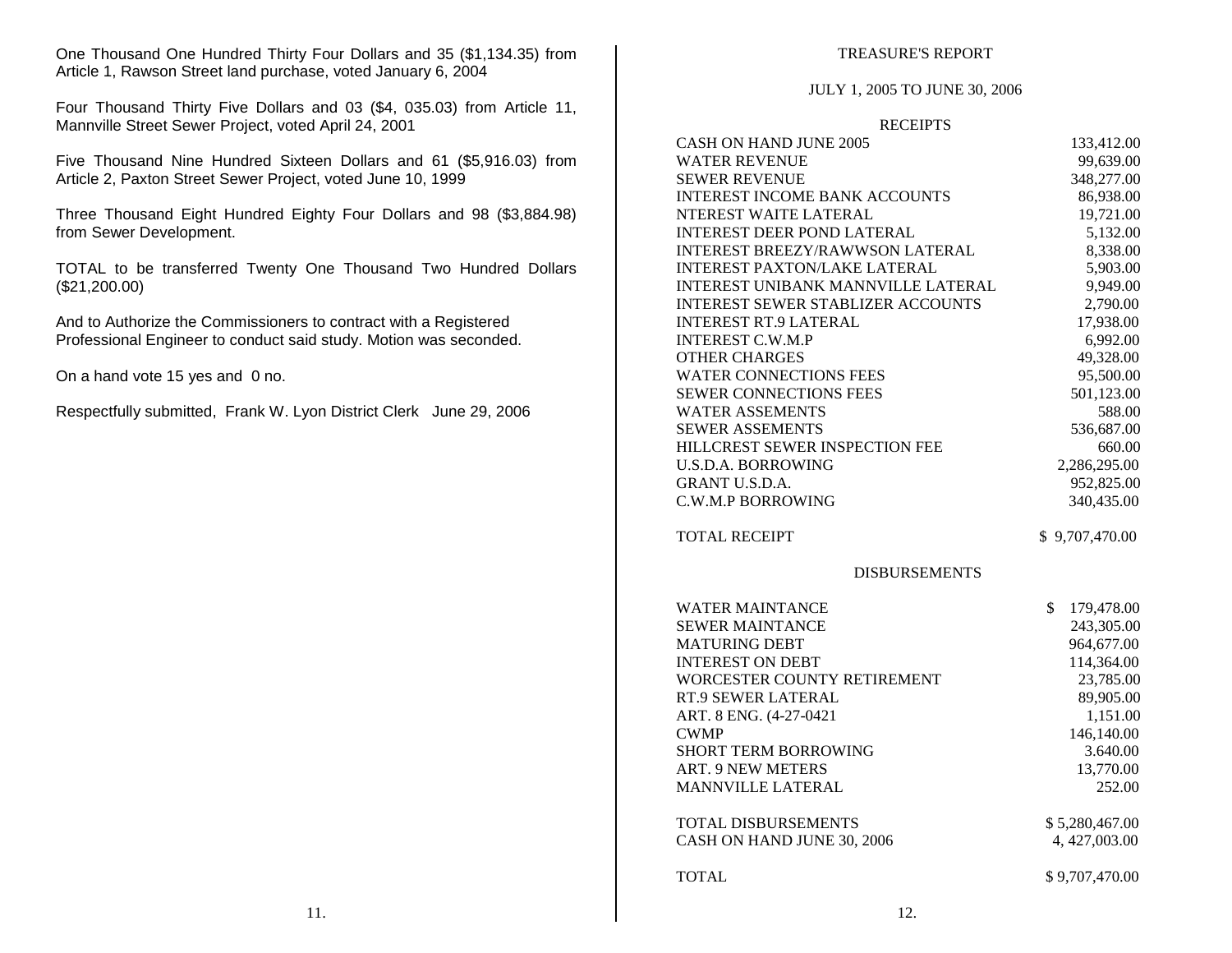One Thousand One Hundred Thirty Four Dollars and 35 (\$1,134.35) from Article 1, Rawson Street land purchase, voted January 6, 2004

Four Thousand Thirty Five Dollars and 03 (\$4, 035.03) from Article 11, Mannville Street Sewer Project, voted April 24, 2001

Five Thousand Nine Hundred Sixteen Dollars and 61 (\$5,916.03) from Article 2, Paxton Street Sewer Project, voted June 10, 1999

Three Thousand Eight Hundred Eighty Four Dollars and 98 (\$3,884.98) from Sewer Development.

TOTAL to be transferred Twenty One Thousand Two Hundred Dollars (\$21,200.00)

And to Authorize the Commissioners to contract with a Registered Professional Engineer to conduct said study. Motion was seconded.

On a hand vote 15 yes and 0 no.

Respectfully submitted, Frank W. Lyon District Clerk June 29, 2006

### TREASURE'S REPORT

#### JULY 1, 2005 TO JUNE 30, 2006

#### **RECEIPTS**

| CASH ON HAND JUNE 2005<br><b>WATER REVENUE</b><br><b>SEWER REVENUE</b><br><b>INTEREST INCOME BANK ACCOUNTS</b><br>NTEREST WAITE LATERAL<br><b>INTEREST DEER POND LATERAL</b><br><b>INTEREST BREEZY/RAWWSON LATERAL</b><br><b>INTEREST PAXTON/LAKE LATERAL</b><br><b>INTEREST UNIBANK MANNVILLE LATERAL</b><br><b>INTEREST SEWER STABLIZER ACCOUNTS</b><br><b>INTEREST RT.9 LATERAL</b><br><b>INTEREST C.W.M.P</b><br><b>OTHER CHARGES</b><br><b>WATER CONNECTIONS FEES</b><br><b>SEWER CONNECTIONS FEES</b><br><b>WATER ASSEMENTS</b><br><b>SEWER ASSEMENTS</b><br>HILLCREST SEWER INSPECTION FEE<br><b>U.S.D.A. BORROWING</b> | 133,412.00<br>99,639.00<br>348,277.00<br>86,938.00<br>19,721.00<br>5,132.00<br>8,338.00<br>5,903.00<br>9,949.00<br>2,790.00<br>17,938.00<br>6,992.00<br>49,328.00<br>95,500.00<br>501,123.00<br>588.00 |
|--------------------------------------------------------------------------------------------------------------------------------------------------------------------------------------------------------------------------------------------------------------------------------------------------------------------------------------------------------------------------------------------------------------------------------------------------------------------------------------------------------------------------------------------------------------------------------------------------------------------------------|--------------------------------------------------------------------------------------------------------------------------------------------------------------------------------------------------------|
|                                                                                                                                                                                                                                                                                                                                                                                                                                                                                                                                                                                                                                |                                                                                                                                                                                                        |
|                                                                                                                                                                                                                                                                                                                                                                                                                                                                                                                                                                                                                                |                                                                                                                                                                                                        |
|                                                                                                                                                                                                                                                                                                                                                                                                                                                                                                                                                                                                                                |                                                                                                                                                                                                        |
|                                                                                                                                                                                                                                                                                                                                                                                                                                                                                                                                                                                                                                |                                                                                                                                                                                                        |
|                                                                                                                                                                                                                                                                                                                                                                                                                                                                                                                                                                                                                                |                                                                                                                                                                                                        |
|                                                                                                                                                                                                                                                                                                                                                                                                                                                                                                                                                                                                                                |                                                                                                                                                                                                        |
|                                                                                                                                                                                                                                                                                                                                                                                                                                                                                                                                                                                                                                |                                                                                                                                                                                                        |
|                                                                                                                                                                                                                                                                                                                                                                                                                                                                                                                                                                                                                                |                                                                                                                                                                                                        |
|                                                                                                                                                                                                                                                                                                                                                                                                                                                                                                                                                                                                                                |                                                                                                                                                                                                        |
|                                                                                                                                                                                                                                                                                                                                                                                                                                                                                                                                                                                                                                |                                                                                                                                                                                                        |
|                                                                                                                                                                                                                                                                                                                                                                                                                                                                                                                                                                                                                                |                                                                                                                                                                                                        |
|                                                                                                                                                                                                                                                                                                                                                                                                                                                                                                                                                                                                                                |                                                                                                                                                                                                        |
|                                                                                                                                                                                                                                                                                                                                                                                                                                                                                                                                                                                                                                |                                                                                                                                                                                                        |
|                                                                                                                                                                                                                                                                                                                                                                                                                                                                                                                                                                                                                                |                                                                                                                                                                                                        |
|                                                                                                                                                                                                                                                                                                                                                                                                                                                                                                                                                                                                                                |                                                                                                                                                                                                        |
|                                                                                                                                                                                                                                                                                                                                                                                                                                                                                                                                                                                                                                |                                                                                                                                                                                                        |
|                                                                                                                                                                                                                                                                                                                                                                                                                                                                                                                                                                                                                                | 536,687.00                                                                                                                                                                                             |
|                                                                                                                                                                                                                                                                                                                                                                                                                                                                                                                                                                                                                                | 660.00                                                                                                                                                                                                 |
|                                                                                                                                                                                                                                                                                                                                                                                                                                                                                                                                                                                                                                | 2,286,295.00                                                                                                                                                                                           |
| <b>GRANT U.S.D.A.</b>                                                                                                                                                                                                                                                                                                                                                                                                                                                                                                                                                                                                          | 952,825.00                                                                                                                                                                                             |
| <b>C.W.M.P BORROWING</b>                                                                                                                                                                                                                                                                                                                                                                                                                                                                                                                                                                                                       | 340,435.00                                                                                                                                                                                             |
| <b>TOTAL RECEIPT</b>                                                                                                                                                                                                                                                                                                                                                                                                                                                                                                                                                                                                           | \$9,707,470.00                                                                                                                                                                                         |
| <b>DISBURSEMENTS</b>                                                                                                                                                                                                                                                                                                                                                                                                                                                                                                                                                                                                           |                                                                                                                                                                                                        |
| \$<br><b>WATER MAINTANCE</b>                                                                                                                                                                                                                                                                                                                                                                                                                                                                                                                                                                                                   | 179,478.00                                                                                                                                                                                             |
|                                                                                                                                                                                                                                                                                                                                                                                                                                                                                                                                                                                                                                | 243,305.00                                                                                                                                                                                             |
| <b>SEWER MAINTANCE</b>                                                                                                                                                                                                                                                                                                                                                                                                                                                                                                                                                                                                         |                                                                                                                                                                                                        |
| <b>MATURING DEBT</b>                                                                                                                                                                                                                                                                                                                                                                                                                                                                                                                                                                                                           |                                                                                                                                                                                                        |
| <b>INTEREST ON DEBT</b>                                                                                                                                                                                                                                                                                                                                                                                                                                                                                                                                                                                                        | 964,677.00<br>114,364.00                                                                                                                                                                               |
| WORCESTER COUNTY RETIREMENT                                                                                                                                                                                                                                                                                                                                                                                                                                                                                                                                                                                                    | 23,785.00                                                                                                                                                                                              |
| RT.9 SEWER LATERAL                                                                                                                                                                                                                                                                                                                                                                                                                                                                                                                                                                                                             | 89,905.00                                                                                                                                                                                              |
| ART. 8 ENG. (4-27-0421                                                                                                                                                                                                                                                                                                                                                                                                                                                                                                                                                                                                         | 1,151.00                                                                                                                                                                                               |
| <b>CWMP</b>                                                                                                                                                                                                                                                                                                                                                                                                                                                                                                                                                                                                                    | 146,140.00                                                                                                                                                                                             |
| <b>SHORT TERM BORROWING</b>                                                                                                                                                                                                                                                                                                                                                                                                                                                                                                                                                                                                    | 3.640.00                                                                                                                                                                                               |
| <b>ART. 9 NEW METERS</b>                                                                                                                                                                                                                                                                                                                                                                                                                                                                                                                                                                                                       | 13,770.00                                                                                                                                                                                              |
| <b>MANNVILLE LATERAL</b>                                                                                                                                                                                                                                                                                                                                                                                                                                                                                                                                                                                                       | 252.00                                                                                                                                                                                                 |
| <b>TOTAL DISBURSEMENTS</b>                                                                                                                                                                                                                                                                                                                                                                                                                                                                                                                                                                                                     | \$5,280,467.00                                                                                                                                                                                         |
| CASH ON HAND JUNE 30, 2006                                                                                                                                                                                                                                                                                                                                                                                                                                                                                                                                                                                                     | 4, 427,003.00                                                                                                                                                                                          |